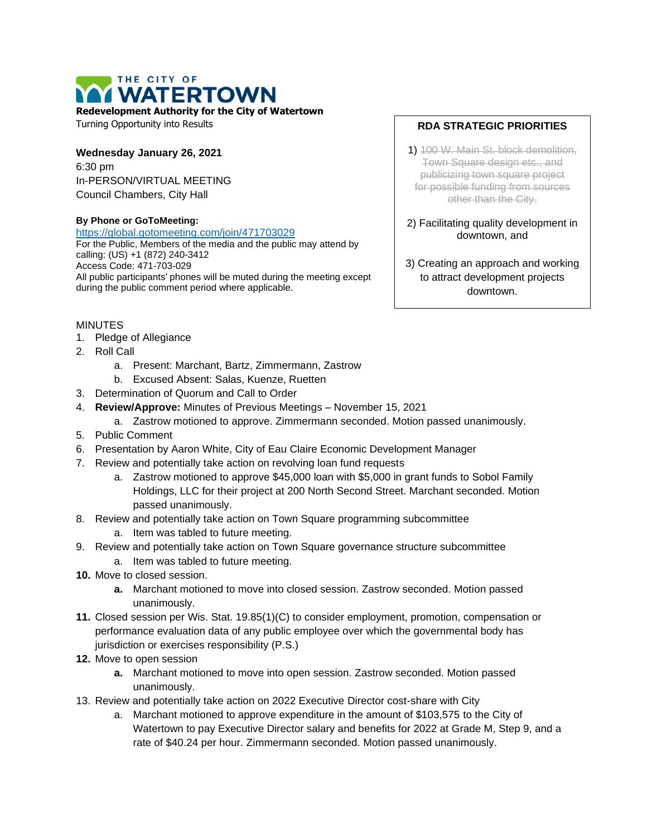# THE CITY OF **WATERTOWN**

**Redevelopment Authority for the City of Watertown**

Turning Opportunity into Results

#### **Wednesday January 26, 2021** 6:30 pm In-PERSON/VIRTUAL MEETING

Council Chambers, City Hall

#### **By Phone or GoToMeeting:**

<https://global.gotomeeting.com/join/471703029>

For the Public, Members of the media and the public may attend by calling: (US) +1 (872) 240-3412 Access Code: 471-703-029 All public participants' phones will be muted during the meeting except during the public comment period where applicable.

## MINUTES

- 1. Pledge of Allegiance
- 2. Roll Call
	- a. Present: Marchant, Bartz, Zimmermann, Zastrow
	- b. Excused Absent: Salas, Kuenze, Ruetten
- 3. Determination of Quorum and Call to Order
- 4. **Review/Approve:** Minutes of Previous Meetings November 15, 2021
	- a. Zastrow motioned to approve. Zimmermann seconded. Motion passed unanimously.
- 5. Public Comment
- 6. Presentation by Aaron White, City of Eau Claire Economic Development Manager
- 7. Review and potentially take action on revolving loan fund requests
	- a. Zastrow motioned to approve \$45,000 loan with \$5,000 in grant funds to Sobol Family Holdings, LLC for their project at 200 North Second Street. Marchant seconded. Motion passed unanimously.
- 8. Review and potentially take action on Town Square programming subcommittee
	- a. Item was tabled to future meeting.
- 9. Review and potentially take action on Town Square governance structure subcommittee
	- a. Item was tabled to future meeting.
- **10.** Move to closed session.
	- **a.** Marchant motioned to move into closed session. Zastrow seconded. Motion passed unanimously.
- **11.** Closed session per Wis. Stat. 19.85(1)(C) to consider employment, promotion, compensation or performance evaluation data of any public employee over which the governmental body has jurisdiction or exercises responsibility (P.S.)
- **12.** Move to open session
	- **a.** Marchant motioned to move into open session. Zastrow seconded. Motion passed unanimously.
- 13. Review and potentially take action on 2022 Executive Director cost-share with City
	- a. Marchant motioned to approve expenditure in the amount of \$103,575 to the City of Watertown to pay Executive Director salary and benefits for 2022 at Grade M, Step 9, and a rate of \$40.24 per hour. Zimmermann seconded. Motion passed unanimously.

### **RDA STRATEGIC PRIORITIES**

- 1) 100 W. Main St. block demolition, Town Square design etc., and publicizing town square project for possible funding from sources other than the City.
- 2) Facilitating quality development in downtown, and
- 3) Creating an approach and working to attract development projects downtown.